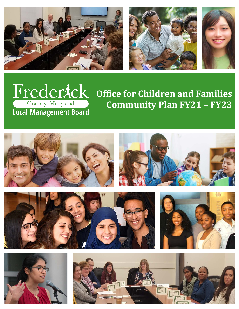







# **Office for Children and Families Community Plan FY21 – FY23**

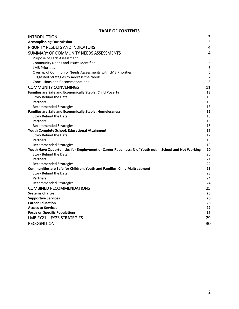# **TABLE OF CONTENTS**

| <b>INTRODUCTION</b>                                                                                   | 3                       |
|-------------------------------------------------------------------------------------------------------|-------------------------|
| <b>Accomplishing Our Mission</b>                                                                      | 3                       |
| PRIORITY RESULTS AND INDICATORS                                                                       | $\overline{4}$          |
| SUMMARY OF COMMUNITY NEEDS ASSESSMENTS                                                                | $\overline{\mathbf{4}}$ |
| Purpose of Each Assessment                                                                            | 5                       |
| Community Needs and Issues Identified                                                                 | 5                       |
| <b>LMB Priorities</b>                                                                                 | 5                       |
| Overlap of Community Needs Assessments with LMB Priorities                                            | 6                       |
| Suggested Strategies to Address the Needs                                                             | 7                       |
| <b>Conclusions and Recommendations</b>                                                                | 8                       |
| <b>COMMUNITY CONVENINGS</b>                                                                           | 11                      |
| Families are Safe and Economically Stable: Child Poverty                                              | 13                      |
| Story Behind the Data                                                                                 | 13                      |
| Partners                                                                                              | 13                      |
| <b>Recommended Strategies</b>                                                                         | 13                      |
| <b>Families are Safe and Economically Stable: Homelessness</b>                                        | 15                      |
| Story Behind the Data                                                                                 | 15                      |
| Partners                                                                                              | 16                      |
| <b>Recommended Strategies</b>                                                                         | 16                      |
| Youth Complete School: Educational Attainment                                                         | 17                      |
| Story Behind the Data                                                                                 | 17                      |
| Partners                                                                                              | 18                      |
| <b>Recommended Strategies</b>                                                                         | 19                      |
| Youth Have Opportunities for Employment or Career Readiness: % of Youth not in School and Not Working | 20                      |
| Story Behind the Data                                                                                 | 20                      |
| Partners                                                                                              | 21                      |
| Recommended Strategies<br>Communities are Safe for Children, Youth and Families: Child Maltreatment   | 22<br>23                |
| Story Behind the Data                                                                                 | 23                      |
| Partners                                                                                              | 24                      |
| <b>Recommended Strategies</b>                                                                         | 24                      |
| <b>COMBINED RECOMMENDATIONS</b>                                                                       | 25                      |
| <b>Systems Change</b>                                                                                 | 25                      |
| <b>Supportive Services</b>                                                                            | 26                      |
| <b>Career Education</b>                                                                               | 26                      |
| <b>Access to Services</b>                                                                             | 27                      |
| <b>Focus on Specific Populations</b>                                                                  | 27                      |
| LMB FY21 - FY23 STRATEGIES                                                                            | 29                      |
| <b>RECOGNITION</b>                                                                                    | 30                      |
|                                                                                                       |                         |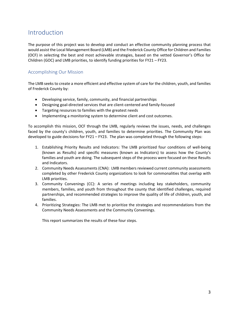# <span id="page-2-0"></span>Introduction

The purpose of this project was to develop and conduct an effective community planning process that would assist the Local Management Board (LMB) and the Frederick County Office for Children and Families (OCF) in selecting the best and most achievable strategies, based on the vetted Governor's Office for Children (GOC) and LMB priorities, to identify funding priorities for FY21 – FY23.

### <span id="page-2-1"></span>Accomplishing Our Mission

The LMB seeks to create a more efficient and effective system of care for the children, youth, and families of Frederick County by:

- Developing service, family, community, and financial partnerships
- Designing goal-directed services that are client-centered and family-focused
- Targeting resources to families with the greatest needs
- Implementing a monitoring system to determine client and cost outcomes.

To accomplish this mission, OCF through the LMB, regularly reviews the issues, needs, and challenges faced by the county's children, youth, and families to determine priorities. The Community Plan was developed to guide decisions for FY21 – FY23. The plan was completed through the following steps:

- 1. Establishing Priority Results and Indicators: The LMB prioritized four conditions of well-being (known as Results) and specific measures (known as Indicators) to assess how the County's families and youth are doing. The subsequent steps of the process were focused on these Results and Indicators.
- 2. Community Needs Assessments (CNA): LMB members reviewed current community assessments completed by other Frederick County organizations to look for commonalities that overlap with LMB priorities.
- 3. Community Convenings (CC): A series of meetings including key stakeholders, community members, families, and youth from throughout the county that identified challenges, required partnerships, and recommended strategies to improve the quality of life of children, youth, and families.
- 4. Prioritizing Strategies: The LMB met to prioritize the strategies and recommendations from the Community Needs Assessments and the Community Convenings.

This report summarizes the results of these four steps.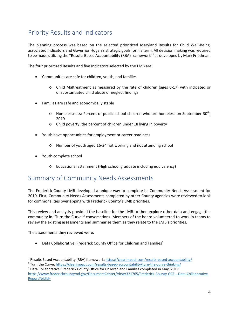# <span id="page-3-0"></span>Priority Results and Indicators

The planning process was based on the selected prioritized Maryland Results for Child Well-Being, associated Indicators and Governor Hogan's strategic goals for his term. All decision making was required to be made utilizing the "Results Based Accountability (RBA) framework"<sup>1</sup> as developed by Mark Friedman.

The four prioritized Results and five Indicators selected by the LMB are:

- Communities are safe for children, youth, and families
	- o Child Maltreatment as measured by the rate of children (ages 0-17) with indicated or unsubstantiated child abuse or neglect findings
- Families are safe and economically stable
	- o Homelessness: Percent of public school children who are homeless on September 30<sup>th</sup>, 2019
	- o Child poverty: the percent of children under 18 living in poverty
- Youth have opportunities for employment or career readiness
	- o Number of youth aged 16-24 not working and not attending school
- Youth complete school
	- o Educational attainment (High school graduate including equivalency)

# <span id="page-3-1"></span>Summary of Community Needs Assessments

The Frederick County LMB developed a unique way to complete its Community Needs Assessment for 2019. First, Community Needs Assessments completed by other County agencies were reviewed to look for commonalities overlapping with Frederick County's LMB priorities.

This review and analysis provided the baseline for the LMB to then explore other data and engage the community in "Turn the Curve"<sup>2</sup> conversations. Members of the board volunteered to work in teams to review the existing assessments and summarize them as they relate to the LMB's priorities.

The assessments they reviewed were:

• Data Collaborative: Frederick County Office for Children and Families<sup>3</sup>

 <sup>1</sup> Results Based Accountability (RBA) framework[: https://clearimpact.com/results-based-accountability/](https://clearimpact.com/results-based-accountability/)

<sup>2</sup> Turn the Curve:<https://clearimpact.com/results-based-accountability/turn-the-curve-thinking/>

<sup>3</sup> Data Collaborative: Frederick County Office for Children and Families completed in May, 2019: [https://www.frederickcountymd.gov/DocumentCenter/View/321765/Frederick-County-OCF---Data-Collaborative-](https://www.frederickcountymd.gov/DocumentCenter/View/321765/Frederick-County-OCF---Data-Collaborative-Report?bidId=)[Report?bidId=](https://www.frederickcountymd.gov/DocumentCenter/View/321765/Frederick-County-OCF---Data-Collaborative-Report?bidId=)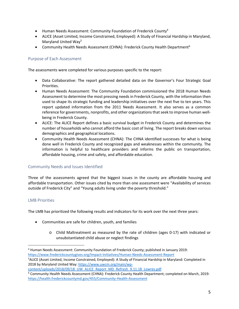- Human Needs Assessment: Community Foundation of Frederick County<sup>4</sup>
- ALICE (Asset Limited, Income Constrained, Employed): A Study of Financial Hardship in Maryland, Maryland United Way<sup>5</sup>
- Community Health Needs Assessment (CHNA): Frederick County Health Department<sup>6</sup>

### <span id="page-4-0"></span>Purpose of Each Assessment

The assessments were completed for various purposes specific to the report:

- Data Collaborative: The report gathered detailed data on the Governor's Four Strategic Goal Priorities.
- Human Needs Assessment: The Community Foundation commissioned the 2018 Human Needs Assessment to determine the most pressing needs in Frederick County, with the information then used to shape its strategic funding and leadership initiatives over the next five to ten years. This report updated information from the 2011 Needs Assessment. It also serves as a common reference for governments, nonprofits, and other organizations that seek to improve human wellbeing in Frederick County.
- ALICE: The ALICE Report defines a basic survival budget in Frederick County and determines the number of households who cannot afford the basic cost of living. The report breaks down various demographics and geographical locations.
- Community Health Needs Assessment (CHNA): The CHNA identified successes for what is being done well in Frederick County and recognized gaps and weaknesses within the community. The information is helpful to healthcare providers and informs the public on transportation, affordable housing, crime and safety, and affordable education.

#### <span id="page-4-1"></span>Community Needs and Issues Identified

Three of the assessments agreed that the biggest issues in the county are affordable housing and affordable transportation. Other issues cited by more than one assessment were "Availability of services outside of Frederick City" and "Young adults living under the poverty threshold."

#### <span id="page-4-2"></span>LMB Priorities

The LMB has prioritized the following results and indicators for its work over the next three years:

- Communities are safe for children, youth, and families
	- o Child Maltreatment as measured by the rate of children (ages 0-17) with indicated or unsubstantiated child abuse or neglect findings

[content/uploads/2018/09/18\\_UW\\_ALICE\\_Report\\_MD\\_Refresh\\_9.11.18\\_Lowres.pdf](https://www.uwcm.org/main/wp-content/uploads/2018/09/18_UW_ALICE_Report_MD_Refresh_9.11.18_Lowres.pdf)

 <sup>4</sup> Human Needs Assessment: Community Foundation of Frederick County; published in January 2019: <https://www.frederickcountygives.org/Impact-Initiatives/Human-Needs-Assessment-Report>

<sup>5</sup> ALICE (Asset Limited, Income Constrained, Employed): A Study of Financial Hardship in Maryland: Completed in 2018 by Maryland United Way[: https://www.uwcm.org/main/wp-](https://www.uwcm.org/main/wp-content/uploads/2018/09/18_UW_ALICE_Report_MD_Refresh_9.11.18_Lowres.pdf)

<sup>6</sup> Community Health Needs Assessment (CHNA): Frederick County Health Department; completed on March, 2019: <https://health.frederickcountymd.gov/455/Community-Health-Assessment>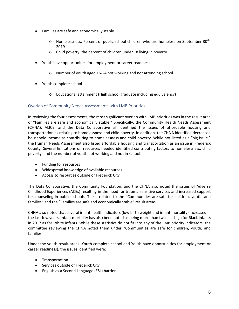- Families are safe and economically stable
	- $\circ$  Homelessness: Percent of public school children who are homeless on September 30<sup>th</sup>, 2019
	- o Child poverty: the percent of children under 18 living in poverty
- Youth have opportunities for employment or career readiness
	- o Number of youth aged 16-24 not working and not attending school
- Youth complete school
	- o Educational attainment (High school graduate including equivalency)

### <span id="page-5-0"></span>Overlap of Community Needs Assessments with LMB Priorities

In reviewing the four assessments, the most significant overlap with LMB priorities was in the result area of "Families are safe and economically stable." Specifically, the Community Health Needs Assessment (CHNA), ALICE, and the Data Collaborative all identified the issues of affordable housing and transportation as relating to homelessness and child poverty. In addition, the CHNA identified decreased household income as contributing to homelessness and child poverty. While not listed as a "big issue," the Human Needs Assessment also listed affordable housing and transportation as an issue in Frederick County. Several limitations on resources needed identified contributing factors to homelessness, child poverty, and the number of youth not working and not in school:

- Funding for resources
- Widespread knowledge of available resources
- Access to resources outside of Frederick City

The Data Collaborative, the Community Foundation, and the CHNA also noted the issues of Adverse Childhood Experiences (ACEs) resulting in the need for trauma-sensitive services and increased support for counseling in public schools. These related to the "Communities are safe for children, youth, and families" and the "Families are safe and economically stable" result areas.

CHNA also noted that several infant health indicators (low birth weight and infant mortality) increased in the last few years. Infant mortality has also been noted as being more than twice as high for Black infants in 2017 as for White infants. While these statistics do not fit into any of the LMB priority indicators, the committee reviewing the CHNA noted them under "Communities are safe for children, youth, and families".

Under the youth result areas (Youth complete school and Youth have opportunities for employment or career readiness), the issues identified were:

- Transportation
- Services outside of Frederick City
- English as a Second Language (ESL) barrier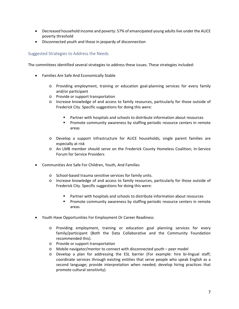- Decreased household income and poverty: 57% of emancipated young adults live under the ALICE poverty threshold
- Disconnected youth and those in jeopardy of disconnection

#### <span id="page-6-0"></span>Suggested Strategies to Address the Needs

The committees identified several strategies to address these issues. These strategies included:

- Families Are Safe And Economically Stable
	- o Providing employment, training or education goal-planning services for every family and/or participant
	- o Provide or support transportation
	- o Increase knowledge of and access to family resources, particularly for those outside of Frederick City. Specific suggestions for doing this were:
		- Partner with hospitals and schools to distribute information about resources
		- Promote community awareness by staffing periodic resource centers in remote areas
	- o Develop a support infrastructure for ALICE households; single parent families are especially at risk
	- o An LMB member should serve on the Frederick County Homeless Coalition; In-Service Forum for Service Providers
- Communities Are Safe For Children, Youth, And Families
	- o School-based trauma sensitive services for family units.
	- o Increase knowledge of and access to family resources, particularly for those outside of Frederick City. Specific suggestions for doing this were:
		- Partner with hospitals and schools to distribute information about resources
		- **Promote community awareness by staffing periodic resource centers in remote** areas
- Youth Have Opportunities For Employment Or Career Readiness
	- o Providing employment, training or education goal planning services for every family/participant (Both the Data Collaborative and the Community Foundation recommended this).
	- o Provide or support transportation
	- o Mobile navigator/mentor to connect with disconnected youth peer model
	- o Develop a plan for addressing the ESL barrier (For example: hire bi-lingual staff; coordinate services through existing entities that serve people who speak English as a second language; provide interpretation when needed; develop hiring practices that promote cultural sensitivity).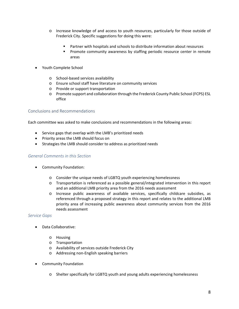- o Increase knowledge of and access to youth resources, particularly for those outside of Frederick City. Specific suggestions for doing this were:
	- Partner with hospitals and schools to distribute information about resources
	- **Promote community awareness by staffing periodic resource center in remote** areas
- Youth Complete School
	- o School-based services availability
	- o Ensure school staff have literature on community services
	- o Provide or support transportation
	- o Promote support and collaboration through the Frederick County Public School (FCPS) ESL office

#### <span id="page-7-0"></span>Conclusions and Recommendations

Each committee was asked to make conclusions and recommendations in the following areas:

- Service gaps that overlap with the LMB's prioritized needs
- Priority areas the LMB should focus on
- Strategies the LMB should consider to address as prioritized needs

#### *General Comments in this Section*

- Community Foundation:
	- o Consider the unique needs of LGBTQ youth experiencing homelessness
	- o Transportation is referenced as a possible general/integrated intervention in this report and an additional LMB priority area from the 2016 needs assessment
	- o Increase public awareness of available services, specifically childcare subsidies, as referenced through a proposed strategy in this report and relates to the additional LMB priority area of increasing public awareness about community services from the 2016 needs assessment

#### *Service Gaps*

- Data Collaborative:
	- o Housing
	- o Transportation
	- o Availability of services outside Frederick City
	- o Addressing non-English speaking barriers
- Community Foundation
	- o Shelter specifically for LGBTQ youth and young adults experiencing homelessness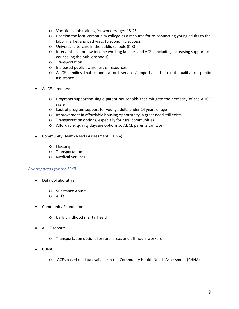- o Vocational job training for workers ages 18-25
- o Position the local community college as a resource for re-connecting young adults to the labor market and pathways to economic success.
- o Universal aftercare in the public schools (K-8)
- o Interventions for low-income working families and ACEs (including increasing support for counseling the public schools)
- o Transportation
- o Increased public awareness of resources
- o ALICE families that cannot afford services/supports and do not qualify for public assistance
- ALICE summary:
	- o Programs supporting single-parent households that mitigate the necessity of the ALICE scale
	- o Lack of program support for young adults under 24 years of age
	- o Improvement in affordable housing opportunity, a great need still exists
	- o Transportation options, especially for rural communities
	- o Affordable, quality daycare options so ALICE parents can work
- Community Health Needs Assessment (CHNA):
	- o Housing
	- o Transportation
	- o Medical Services

#### *Priority areas for the LMB*

- Data Collaborative:
	- o Substance Abuse
	- o ACEs
- Community Foundation
	- o Early childhood mental health
- ALICE report:
	- o Transportation options for rural areas and off-hours workers
- CHNA:
	- o ACEs based on data available in the Community Health Needs Assessment (CHNA)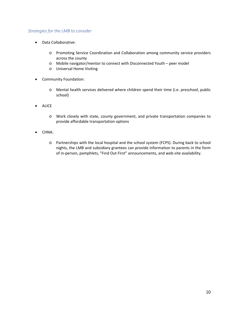### *Strategies for the LMB to consider*

- Data Collaborative:
	- o Promoting Service Coordination and Collaboration among community service providers across the county
	- o Mobile navigator/mentor to connect with Disconnected Youth peer model
	- o Universal Home Visiting
- Community Foundation:
	- o Mental health services delivered where children spend their time (i.e. preschool, public school)
- ALICE
	- o Work closely with state, county government, and private transportation companies to provide affordable transportation options
- CHNA:
	- o Partnerships with the local hospital and the school system (FCPS). During back to school nights, the LMB and subsidiary grantees can provide information to parents in the form of in-person, pamphlets, "Find Out First" announcements, and web-site availability.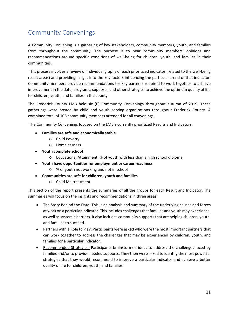# <span id="page-10-0"></span>Community Convenings

A Community Convening is a gathering of key stakeholders, community members, youth, and families from throughout the community. The purpose is to hear community members' opinions and recommendations around specific conditions of well-being for children, youth, and families in their communities.

This process involves a review of individual graphs of each prioritized indicator (related to the well-being result areas) and providing insight into the key factors influencing the particular trend of that indicator. Community members provide recommendations for key partners required to work together to achieve improvement in the data, programs, supports, and other strategies to achieve the optimum quality of life for children, youth, and families in the county.

The Frederick County LMB held six (6) Community Convenings throughout autumn of 2019. These gatherings were hosted by child and youth serving organizations throughout Frederick County. A combined total of 106 community members attended for all convenings.

The Community Convenings focused on the LMB's currently prioritized Results and Indicators:

- **Families are safe and economically stable**
	- o Child Poverty
	- o Homelessness
- **Youth complete school**
	- o Educational Attainment: % of youth with less than a high school diploma
- **Youth have opportunities for employment or career readiness**
	- o % of youth not working and not in school
- **Communities are safe for children, youth and families**
	- o Child Maltreatment

This section of the report presents the summaries of all the groups for each Result and Indicator. The summaries will focus on the insights and recommendations in three areas:

- The Story Behind the Data: This is an analysis and summary of the underlying causes and forces at work on a particular indicator. This includes challenges that families and youth may experience, as well as systemic barriers. It also includes community supports that are helping children, youth, and families to succeed.
- Partners with a Role to Play: Participants were asked who were the most important partners that can work together to address the challenges that may be experienced by children, youth, and families for a particular indicator.
- Recommended Strategies: Participants brainstormed ideas to address the challenges faced by families and/or to provide needed supports. They then were asked to identify the most powerful strategies that they would recommend to improve a particular indicator and achieve a better quality of life for children, youth, and families.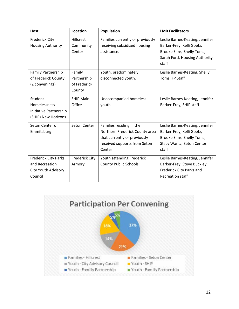| <b>Host</b>                                                                         | <b>Location</b>                                 | Population                                                                                                                           | <b>LMB Facilitators</b>                                                                                                             |
|-------------------------------------------------------------------------------------|-------------------------------------------------|--------------------------------------------------------------------------------------------------------------------------------------|-------------------------------------------------------------------------------------------------------------------------------------|
| <b>Frederick City</b><br><b>Housing Authority</b>                                   | <b>Hillcrest</b><br>Community<br>Center         | Families currently or previously<br>receiving subsidized housing<br>assistance.                                                      | Leslie Barnes-Keating, Jennifer<br>Barker-Frey, Kelli Goetz,<br>Brooke Sims, Shelly Toms,<br>Sarah Ford, Housing Authority<br>staff |
| <b>Family Partnership</b><br>of Frederick County<br>(2 convenings)                  | Family<br>Partnership<br>of Frederick<br>County | Youth, predominately<br>disconnected youth.                                                                                          | Leslie Barnes-Keating, Shelly<br>Toms, FP Staff                                                                                     |
| Student<br>Homelessness<br>Initiative Partnership<br>(SHIP) New Horizons            | <b>SHIP Main</b><br>Office                      | Unaccompanied homeless<br>youth                                                                                                      | Leslie Barnes-Keating, Jennifer<br>Barker-Frey, SHIP staff                                                                          |
| Seton Center of<br>Emmitsburg                                                       | Seton Center                                    | Families residing in the<br>Northern Frederick County area<br>that currently or previously<br>received supports from Seton<br>Center | Leslie Barnes-Keating, Jennifer<br>Barker-Frey, Kelli Goetz,<br>Brooke Sims, Shelly Toms,<br>Stacy Wantz, Seton Center<br>staff     |
| <b>Frederick City Parks</b><br>and Recreation $-$<br>City Youth Advisory<br>Council | <b>Frederick City</b><br>Armory                 | Youth attending Frederick<br><b>County Public Schools</b>                                                                            | Leslie Barnes-Keating, Jennifer<br>Barker-Frey, Steve Buckley,<br>Frederick City Parks and<br><b>Recreation staff</b>               |

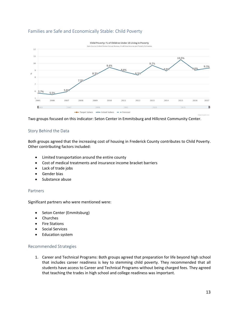# <span id="page-12-0"></span>Families are Safe and Economically Stable: Child Poverty



Two groups focused on this indicator: Seton Center in Emmitsburg and Hillcrest Community Center.

### <span id="page-12-1"></span>Story Behind the Data

Both groups agreed that the increasing cost of housing in Frederick County contributes to Child Poverty. Other contributing factors included:

- Limited transportation around the entire county
- Cost of medical treatments and insurance income bracket barriers
- Lack of trade jobs
- Gender bias
- Substance abuse

#### <span id="page-12-2"></span>Partners

Significant partners who were mentioned were:

- Seton Center (Emmitsburg)
- Churches
- **Fire Stations**
- Social Services
- Education system

#### <span id="page-12-3"></span>Recommended Strategies

1. Career and Technical Programs: Both groups agreed that preparation for life beyond high school that includes career readiness is key to stemming child poverty. They recommended that all students have access to Career and Technical Programs without being charged fees. They agreed that teaching the trades in high school and college readiness was important.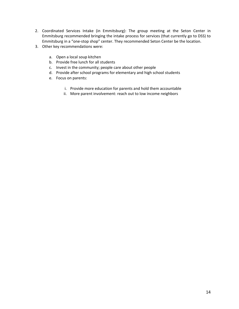- 2. Coordinated Services Intake (in Emmitsburg): The group meeting at the Seton Center in Emmitsburg recommended bringing the intake process for services (that currently go to DSS) to Emmitsburg in a "one-stop shop" center. They recommended Seton Center be the location.
- 3. Other key recommendations were:
	- a. Open a local soup kitchen
	- b. Provide free lunch for all students
	- c. Invest in the community; people care about other people
	- d. Provide after school programs for elementary and high school students
	- e. Focus on parents:
		- i. Provide more education for parents and hold them accountable
		- ii. More parent involvement: reach out to low income neighbors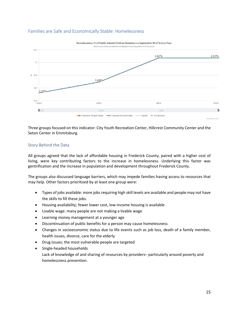# <span id="page-14-0"></span>Families are Safe and Economically Stable: Homelessness



Three groups focused on this indicator: City Youth Recreation Center, Hillcrest Community Center and the Seton Center in Emmitsburg.

#### <span id="page-14-1"></span>Story Behind the Data

All groups agreed that the lack of affordable housing in Frederick County, paired with a higher cost of living, were key contributing factors to the increase in homelessness. Underlying this factor was gentrification and the increase in population and development throughout Frederick County.

The groups also discussed language barriers, which may impede families having access to resources that may help. Other factors prioritized by at least one group were:

- Types of jobs available: more jobs requiring high skill levels are available and people may not have the skills to fill these jobs.
- Housing availability; fewer lower cost, low-income housing is available
- Livable wage: many people are not making a livable wage
- Learning money management at a younger age
- Discontinuation of public benefits for a person may cause homelessness
- Changes in socioeconomic status due to life events such as job loss, death of a family member, health issues, divorce, care for the elderly
- Drug issues; the most vulnerable people are targeted
- Single-headed households Lack of knowledge of and sharing of resources by providers– particularly around poverty and homelessness prevention.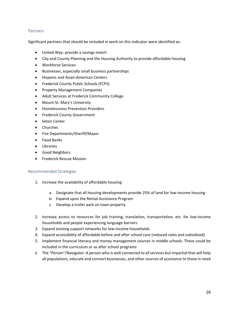#### <span id="page-15-0"></span>**Partners**

Significant partners that should be included in work on this indicator were identified as:

- United Way: provide a savings match
- City and County Planning and the Housing Authority to provide affordable housing
- Workforce Services
- Businesses, especially small business partnerships
- Hispanic and Asian-American Centers
- Frederick County Public Schools (FCPS)
- Property Management Companies
- Adult Services at Frederick Community College
- Mount St. Mary's University
- Homelessness Prevention Providers
- Frederick County Government
- Seton Center
- Churches
- Fire Departments/Sheriff/Mayor
- Food Banks
- Libraries
- Good Neighbors
- Frederick Rescue Mission

#### <span id="page-15-1"></span>Recommended Strategies

- 1. Increase the availability of affordable housing:
	- a. Designate that all housing developments provide 25% of land for low-income housing
	- b. Expand upon the Rental Assistance Program
	- c. Develop a trailer park on town property
- 2. Increase access to resources for job training, translation, transportation, etc. for low-income households and people experiencing language barriers
- 3. Expand existing support networks for low-income households
- 4. Expand accessibility of affordable before and after school care (reduced rates and subsidized)
- 5. Implement financial literacy and money management courses in middle schools. These could be included in the curriculum or as after school programs
- 6. The "Person"/Navigator: A person who is well connected to all services but impartial that will help all populations, educate and connect businesses, and other sources of assistance to those in need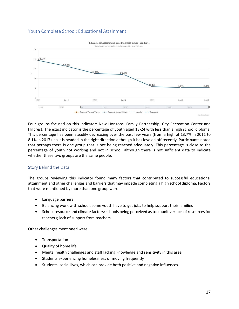# <span id="page-16-0"></span>Youth Complete School: Educational Attainment



Four groups focused on this indicator: New Horizons, Family Partnership, City Recreation Center and Hillcrest. The exact indicator is the percentage of youth aged 18-24 with less than a high school diploma. This percentage has been steadily decreasing over the past few years (from a high of 13.7% in 2011 to 8.1% in 2017), so it is headed in the right direction although it has leveled off recently. Participants noted that perhaps there is one group that is not being reached adequately. This percentage is close to the percentage of youth not working and not in school, although there is not sufficient data to indicate whether these two groups are the same people.

#### <span id="page-16-1"></span>Story Behind the Data

The groups reviewing this indicator found many factors that contributed to successful educational attainment and other challenges and barriers that may impede completing a high school diploma. Factors that were mentioned by more than one group were:

- Language barriers
- Balancing work with school: some youth have to get jobs to help support their families
- School resource and climate factors: schools being perceived as too punitive; lack of resources for teachers; lack of support from teachers.

Other challenges mentioned were:

- Transportation
- Quality of home life
- Mental health challenges and staff lacking knowledge and sensitivity in this area
- Students experiencing homelessness or moving frequently
- Students' social lives, which can provide both positive and negative influences.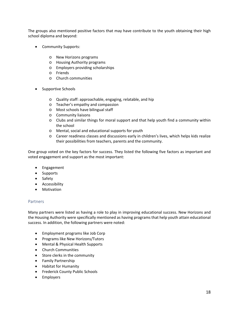The groups also mentioned positive factors that may have contribute to the youth obtaining their high school diploma and beyond:

- Community Supports:
	- o New Horizons programs
	- o Housing Authority programs
	- o Employers providing scholarships
	- o Friends
	- o Church communities
- Supportive Schools
	- o Quality staff: approachable, engaging, relatable, and hip
	- o Teacher's empathy and compassion
	- o Most schools have bilingual staff
	- o Community liaisons
	- o Clubs and similar things for moral support and that help youth find a community within the school
	- o Mental, social and educational supports for youth
	- o Career readiness classes and discussions early in children's lives, which helps kids realize their possibilities from teachers, parents and the community.

One group voted on the key factors for success. They listed the following five factors as important and voted engagement and support as the most important:

- Engagement
- Supports
- Safety
- Accessibility
- Motivation

#### <span id="page-17-0"></span>Partners

Many partners were listed as having a role to play in improving educational success. New Horizons and the Housing Authority were specifically mentioned as having programs that help youth attain educational success. In addition, the following partners were noted:

- Employment programs like Job Corp
- Programs like New Horizons/Tutors
- Mental & Physical Health Supports
- Church Communities
- Store clerks in the community
- Family Partnership
- Habitat for Humanity
- Frederick County Public Schools
- Employers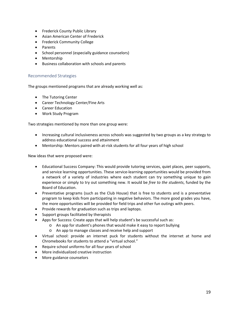- Frederick County Public Library
- Asian American Center of Frederick
- Frederick Community College
- Parents
- School personnel (especially guidance counselors)
- Mentorship
- Business collaboration with schools and parents

#### <span id="page-18-0"></span>Recommended Strategies

The groups mentioned programs that are already working well as:

- The Tutoring Center
- Career Technology Center/Fine Arts
- Career Education
- Work Study Program

Two strategies mentioned by more than one group were:

- Increasing cultural inclusiveness across schools was suggested by two groups as a key strategy to address educational success and attainment
- Mentorship: Mentors paired with at-risk students for all four years of high school

New ideas that were proposed were:

- Educational Success Company: This would provide tutoring services, quiet places, peer supports, and service learning opportunities. These service-learning opportunities would be provided from a network of a variety of industries where each student can try something unique to gain experience or simply to try out something new. It would be *free to the students*, funded by the Board of Education.
- Preventative programs (such as the Club House) that is free to students and is a preventative program to keep kids from participating in negative behaviors. The more good grades you have, the more opportunities will be provided for field trips and other fun outings with peers.
- Provide rewards for graduation such as trips and laptops.
- Support groups facilitated by therapists
- Apps for Success: Create apps that will help student's be successful such as:
	- o An app for student's phones that would make it easy to report bullying
	- o An app to manage classes and receive help and support
- Virtual school: provide an internet puck for students without the internet at home and Chromebooks for students to attend a "virtual school."
- Require school uniforms for all four years of school
- More individualized creative instruction
- More guidance counselors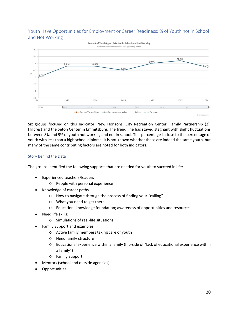# <span id="page-19-0"></span>Youth Have Opportunities for Employment or Career Readiness: % of Youth not in School and Not Working



Six groups focused on this Indicator: New Horizons, City Recreation Center, Family Partnership (2), Hillcrest and the Seton Center in Emmitsburg. The trend line has stayed stagnant with slight fluctuations between 8% and 9% of youth not working and not in school. This percentage is close to the percentage of youth with less than a high school diploma. It is not known whether these are indeed the same youth, but many of the same contributing factors are noted for both indicators.

#### <span id="page-19-1"></span>Story Behind the Data

The groups identified the following supports that are needed for youth to succeed in life:

- Experienced teachers/leaders
	- o People with personal experience
- Knowledge of career paths
	- o How to navigate through the process of finding your "calling"
	- o What you need to get there
	- o Education: knowledge foundation; awareness of opportunities and resources
- Need life skills:
	- o Simulations of real-life situations
- Family Support and examples:
	- o Active family members taking care of youth
	- o Need family structure
	- o Educational experience within a family (flip-side of "lack of educational experience within a family")
	- o Family Support
- Mentors (school and outside agencies)
- **Opportunities**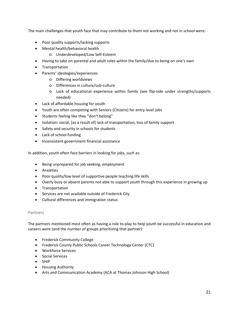The main challenges that youth face that may contribute to them not working and not in school were:

- Poor quality supports/lacking supports
- Mental health/behavioral health
	- o Underdeveloped/Low Self-Esteem
- Having to take on parental and adult roles within the family/due to being on one's own
- Transportation
- Parents' ideologies/experiences
	- o Differing worldviews
	- o Differences in culture/sub-culture
	- o Lack of educational experience within family (see flip-side under strengths/supports needed)
- Lack of affordable housing for youth
- Youth are often competing with Seniors (Citizens) for entry level jobs
- Students feeling like they "don't belong"
- Isolation: social, [as a result of] lack of transportation, loss of family support
- Safety and security in schools for students
- Lack of school funding
- Inconsistent government financial assistance

In addition, youth often face barriers in looking for jobs, such as:

- Being unprepared for job seeking, employment
- Anxieties
- Poor quality/low level of supportive people teaching life skills
- Overly busy or absent parents not able to support youth through this experience in growing up
- Transportation
- Services are not available outside of Frederick City
- Cultural differences and immigration status

#### <span id="page-20-0"></span>Partners

The partners mentioned most often as having a role to play to help youth be successful in education and careers were (and the number of groups prioritizing that partner):

- Frederick Community College
- Frederick County Public Schools Career Technology Center (CTC)
- Workforce Services
- Social Services
- SHIP
- Housing Authority
- Arts and Communication Academy (ACA at Thomas Johnson High School)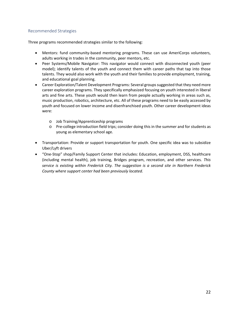### <span id="page-21-0"></span>Recommended Strategies

Three programs recommended strategies similar to the following:

- Mentors: fund community-based mentoring programs. These can use AmeriCorps volunteers, adults working in trades in the community, peer mentors, etc.
- Peer Systems/Mobile Navigator: This navigator would connect with disconnected youth (peer model); identify talents of the youth and connect them with career paths that tap into those talents. They would also work with the youth and their families to provide employment, training, and educational goal planning.
- Career Exploration/Talent Development Programs: Several groups suggested that they need more career exploration programs. They specifically emphasized focusing on youth interested in liberal arts and fine arts. These youth would then learn from people actually working in areas such as, music production, robotics, architecture, etc. All of these programs need to be easily accessed by youth and focused on lower income and disenfranchised youth. Other career development ideas were:
	- o Job Training/Apprenticeship programs
	- o Pre-college introduction field trips; consider doing this in the summer and for students as young as elementary school age.
- Transportation: Provide or support transportation for youth. One specific idea was to subsidize Uber/Lyft drivers
- "One-Stop" shop/Family Support Center that includes: Education, employment, DSS, healthcare (including mental health), job training, Bridges program, recreation, and other services. *This service is existing within Frederick City. The suggestion is a second site in Northern Frederick County where support center had been previously located.*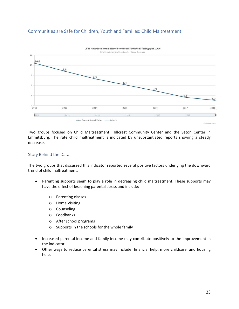<span id="page-22-0"></span>



Two groups focused on Child Maltreatment: Hillcrest Community Center and the Seton Center in Emmitsburg. The rate child maltreatment is indicated by unsubstantiated reports showing a steady decrease.

#### <span id="page-22-1"></span>Story Behind the Data

The two groups that discussed this indicator reported several positive factors underlying the downward trend of child maltreatment:

- Parenting supports seem to play a role in decreasing child maltreatment. These supports may have the effect of lessening parental stress and include:
	- o Parenting classes
	- o Home Visiting
	- o Counseling
	- o Foodbanks
	- o After school programs
	- o Supports in the schools for the whole family
- Increased parental income and family income may contribute positively to the improvement in the indicator.
- Other ways to reduce parental stress may include: financial help, more childcare, and housing help.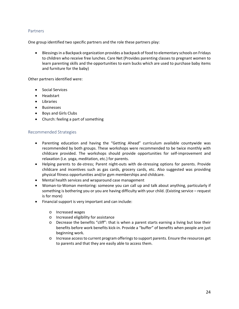#### <span id="page-23-0"></span>**Partners**

One group identified two specific partners and the role these partners play:

• Blessings in a Backpack organization provides a backpack of food to elementary schools on Fridays to children who receive free lunches. Care Net (Provides parenting classes to pregnant women to learn parenting skills and the opportunities to earn bucks which are used to purchase baby items and furniture for the baby)

Other partners identified were:

- Social Services
- Headstart
- Libraries
- Businesses
- Boys and Girls Clubs
- Church: feeling a part of something

#### <span id="page-23-1"></span>Recommended Strategies

- Parenting education and having the "Getting Ahead" curriculum available countywide was recommended by both groups. These workshops were recommended to be twice monthly with childcare provided. The workshops should provide opportunities for self-improvement and relaxation (i.e. yoga, meditation, etc.) for parents.
- Helping parents to de-stress; Parent night-outs with de-stressing options for parents. Provide childcare and incentives such as gas cards, grocery cards, etc. Also suggested was providing physical fitness opportunities and/or gym memberships and childcare.
- Mental health services and wraparound case management
- Woman-to-Woman mentoring: someone you can call up and talk about anything, particularly if something is bothering you or you are having difficulty with your child. (Existing service – request is for more)
- Financial support is very important and can include:
	- o Increased wages
	- o Increased eligibility for assistance
	- o Decrease the benefits "cliff": that is when a parent starts earning a living but lose their benefits before work benefits kick-in. Provide a "buffer" of benefits when people are just beginning work.
	- o Increase access to current program offerings to support parents. Ensure the resources get to parents and that they are easily able to access them.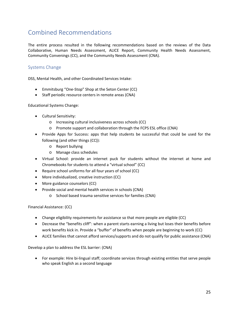# <span id="page-24-0"></span>Combined Recommendations

The entire process resulted in the following recommendations based on the reviews of the Data Collaborative, Human Needs Assessment, ALICE Report, Community Health Needs Assessment, Community Convenings (CC), and the Community Needs Assessment (CNA).

# <span id="page-24-1"></span>Systems Change

DSS, Mental Health, and other Coordinated Services Intake:

- Emmitsburg "One-Stop" Shop at the Seton Center (CC)
- Staff periodic resource centers in remote areas (CNA)

Educational Systems Change:

- Cultural Sensitivity:
	- o Increasing cultural inclusiveness across schools (CC)
	- o Promote support and collaboration through the FCPS ESL office (CNA)
- Provide Apps for Success: apps that help students be successful that could be used for the following (and other things (CC)):
	- o Report bullying
	- o Manage class schedules
- Virtual School: provide an internet puck for students without the internet at home and Chromebooks for students to attend a "virtual school" (CC)
- Require school uniforms for all four years of school (CC)
- More individualized, creative instruction (CC)
- More guidance counselors (CC)
- Provide social and mental health services in schools (CNA)
	- o School based trauma sensitive services for families (CNA)

Financial Assistance: (CC)

- Change eligibility requirements for assistance so that more people are eligible (CC)
- Decrease the "benefits cliff": when a parent starts earning a living but loses their benefits before work benefits kick in. Provide a "buffer" of benefits when people are beginning to work (CC)
- ALICE families that cannot afford services/supports and do not qualify for public assistance (CNA)

Develop a plan to address the ESL barrier: (CNA)

• For example: Hire bi-lingual staff; coordinate services through existing entities that serve people who speak English as a second language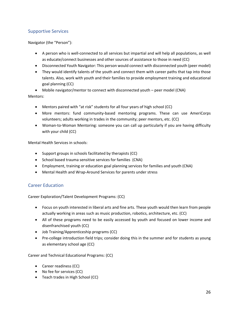# <span id="page-25-0"></span>Supportive Services

Navigator (the "Person"):

- A person who is well-connected to all services but impartial and will help all populations, as well as educate/connect businesses and other sources of assistance to those in need (CC)
- Disconnected Youth Navigator: This person would connect with disconnected youth (peer model)
- They would identify talents of the youth and connect them with career paths that tap into those talents. Also, work with youth and their families to provide employment training and educational goal planning (CC)

• Mobile navigator/mentor to connect with disconnected youth – peer model (CNA)

Mentors:

- Mentors paired with "at risk" students for all four years of high school (CC)
- More mentors: fund community-based mentoring programs. These can use AmeriCorps volunteers; adults working in trades in the community; peer mentors, etc. (CC)
- Woman-to-Woman Mentoring: someone you can call up particularly if you are having difficulty with your child (CC)

Mental Health Services in schools:

- Support groups in schools facilitated by therapists (CC)
- School based trauma sensitive services for families (CNA)
- Employment, training or education goal planning services for families and youth (CNA)
- Mental Health and Wrap-Around Services for parents under stress

# <span id="page-25-1"></span>Career Education

Career Exploration/Talent Development Programs: (CC)

- Focus on youth interested in liberal arts and fine arts. These youth would then learn from people actually working in areas such as music production, robotics, architecture, etc. (CC)
- All of these programs need to be easily accessed by youth and focused on lower income and disenfranchised youth (CC)
- Job Training/Apprenticeship programs (CC)
- Pre-college introduction field trips; consider doing this in the summer and for students as young as elementary school age (CC)

Career and Technical Educational Programs: (CC)

- Career readiness (CC)
- No fee for services (CC)
- Teach trades in High School (CC)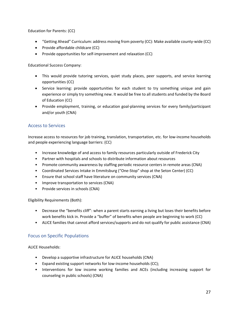Education for Parents: (CC)

- "Getting Ahead" Curriculum: address moving from poverty (CC): Make available county-wide (CC)
- Provide affordable childcare (CC)
- Provide opportunities for self-improvement and relaxation (CC)

Educational Success Company:

- This would provide tutoring services, quiet study places, peer supports, and service learning opportunities (CC)
- Service learning: provide opportunities for each student to try something unique and gain experience or simply try something new. It would be free to all students and funded by the Board of Education (CC)
- Provide employment, training, or education goal-planning services for every family/participant and/or youth (CNA)

### <span id="page-26-0"></span>Access to Services

Increase access to resources for job training, translation, transportation, etc. for low-income households and people experiencing language barriers: (CC)

- Increase knowledge of and access to family resources particularly outside of Frederick City
- Partner with hospitals and schools to distribute information about resources
- Promote community awareness by staffing periodic resource centers in remote areas (CNA)
- Coordinated Services Intake in Emmitsburg ("One-Stop" shop at the Seton Center) (CC)
- Ensure that school staff have literature on community services (CNA)
- Improve transportation to services (CNA)
- Provide services in schools (CNA)

Eligibility Requirements (Both):

- Decrease the "benefits cliff": when a parent starts earning a living but loses their benefits before work benefits kick in. Provide a "buffer" of benefits when people are beginning to work (CC)
- ALICE families that cannot afford services/supports and do not qualify for public assistance (CNA)

# <span id="page-26-1"></span>Focus on Specific Populations

ALICE Households:

- Develop a supportive infrastructure for ALICE households (CNA)
- Expand existing support networks for low-income households (CC);
- Interventions for low income working families and ACEs (including increasing support for counseling in public schools) (CNA)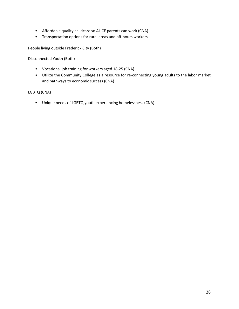- Affordable quality childcare so ALICE parents can work (CNA)
- Transportation options for rural areas and off-hours workers

People living outside Frederick City (Both)

Disconnected Youth (Both)

- Vocational job training for workers aged 18-25 (CNA)
- Utilize the Community College as a resource for re-connecting young adults to the labor market and pathways to economic success (CNA)

#### LGBTQ (CNA)

• Unique needs of LGBTQ youth experiencing homelessness (CNA)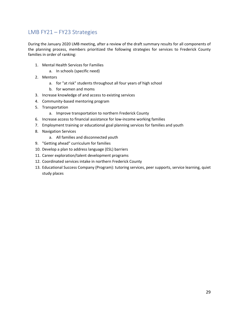# <span id="page-28-0"></span>LMB FY21 – FY23 Strategies

During the January 2020 LMB meeting, after a review of the draft summary results for all components of the planning process, members prioritized the following strategies for services to Frederick County families in order of ranking:

- 1. Mental Health Services for Families
	- a. In schools (specific need)
- 2. Mentors
	- a. for "at risk" students throughout all four years of high school
	- b. for women and moms
- 3. Increase knowledge of and access to existing services
- 4. Community-based mentoring program
- 5. Transportation
	- a. Improve transportation to northern Frederick County
- 6. Increase access to financial assistance for low-income working families
- 7. Employment training or educational goal planning services for families and youth
- 8. Navigation Services
	- a. All families and disconnected youth
- 9. "Getting ahead" curriculum for families
- 10. Develop a plan to address language (ESL) barriers
- 11. Career exploration/talent development programs
- 12. Coordinated services intake in northern Frederick County
- 13. Educational Success Company (Program): tutoring services, peer supports, service learning, quiet study places